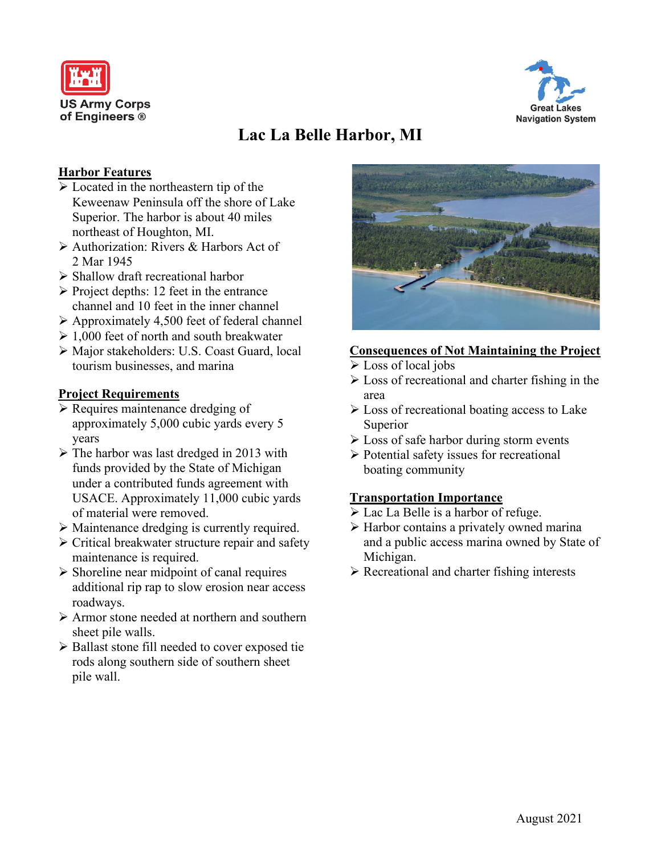



# **Lac La Belle Harbor, MI**

### **Harbor Features**

- $\triangleright$  Located in the northeastern tip of the Keweenaw Peninsula off the shore of Lake Superior. The harbor is about 40 miles northeast of Houghton, MI.
- Authorization: Rivers & Harbors Act of 2 Mar 1945
- $\triangleright$  Shallow draft recreational harbor
- $\triangleright$  Project depths: 12 feet in the entrance channel and 10 feet in the inner channel
- $\triangleright$  Approximately 4,500 feet of federal channel
- $\geq 1,000$  feet of north and south breakwater
- Major stakeholders: U.S. Coast Guard, local tourism businesses, and marina

#### **Project Requirements**

- $\triangleright$  Requires maintenance dredging of approximately 5,000 cubic yards every 5 years
- $\triangleright$  The harbor was last dredged in 2013 with funds provided by the State of Michigan under a contributed funds agreement with USACE. Approximately 11,000 cubic yards of material were removed.
- Maintenance dredging is currently required.
- $\triangleright$  Critical breakwater structure repair and safety maintenance is required.
- $\triangleright$  Shoreline near midpoint of canal requires additional rip rap to slow erosion near access roadways.
- Armor stone needed at northern and southern sheet pile walls.
- ▶ Ballast stone fill needed to cover exposed tie rods along southern side of southern sheet pile wall.



## **Consequences of Not Maintaining the Project**

- Loss of local jobs
- $\triangleright$  Loss of recreational and charter fishing in the area
- $\triangleright$  Loss of recreational boating access to Lake Superior
- $\triangleright$  Loss of safe harbor during storm events
- $\triangleright$  Potential safety issues for recreational boating community

## **Transportation Importance**

- Lac La Belle is a harbor of refuge.
- $\triangleright$  Harbor contains a privately owned marina and a public access marina owned by State of Michigan.
- $\triangleright$  Recreational and charter fishing interests